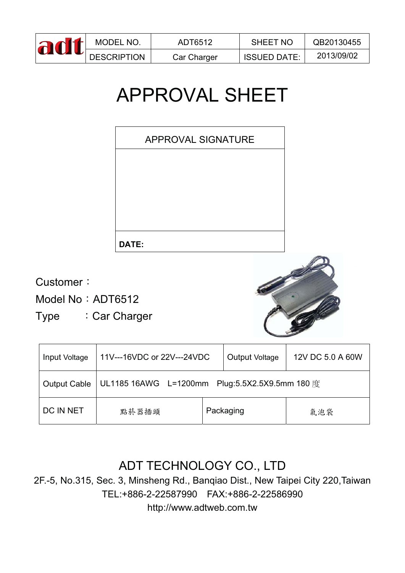| adt | MODEL NO.          | ADT6512     | <b>SHEET NO</b>     | QB20130455 |
|-----|--------------------|-------------|---------------------|------------|
|     | <b>DESCRIPTION</b> | Car Charger | <b>ISSUED DATE:</b> | 2013/09/02 |

# APPROVAL SHEET



Customer:

Model No: ADT6512

Type : Car Charger



| Input Voltage       | 11V---16VDC or 22V---24VDC                        |  | Output Voltage | 12V DC 5.0 A 60W |  |
|---------------------|---------------------------------------------------|--|----------------|------------------|--|
| <b>Output Cable</b> | Plug:5.5X2.5X9.5mm 180 度<br>UL1185 16AWG L=1200mm |  |                |                  |  |
| DC IN NET           | 點菸器插頭                                             |  | Packaging      | 氣泡袋              |  |

# ADT TECHNOLOGY CO., LTD

2F.-5, No.315, Sec. 3, Minsheng Rd., Banqiao Dist., New Taipei City 220,Taiwan TEL:+886-2-22587990 FAX:+886-2-22586990 http://www.adtweb.com.tw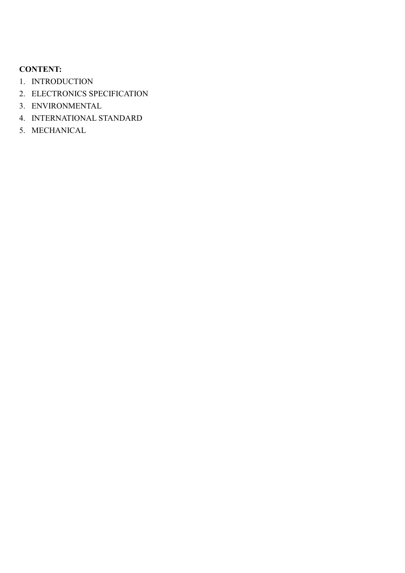# **CONTENT:**

- 1. INTRODUCTION
- 2. ELECTRONICS SPECIFICATION
- 3. ENVIRONMENTAL
- 4. INTERNATIONAL STANDARD
- 5. MECHANICAL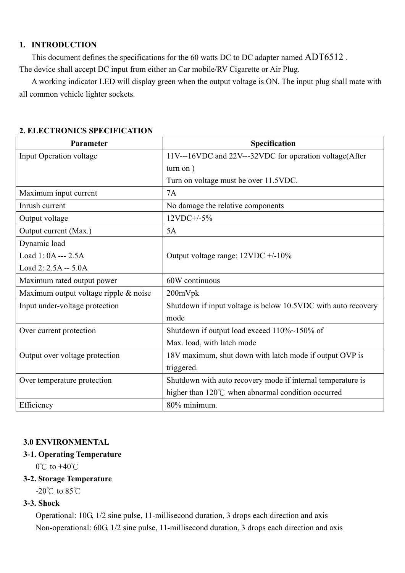## **1. INTRODUCTION**

This document defines the specifications for the 60 watts DC to DC adapter named ADT6512 .

The device shall accept DC input from either an Car mobile/RV Cigarette or Air Plug.

A working indicator LED will display green when the output voltage is ON. The input plug shall mate with all common vehicle lighter sockets.

| Parameter                             | Specification                                                 |  |  |
|---------------------------------------|---------------------------------------------------------------|--|--|
| <b>Input Operation voltage</b>        | 11V---16VDC and 22V---32VDC for operation voltage(After       |  |  |
|                                       | turn on)                                                      |  |  |
|                                       | Turn on voltage must be over 11.5VDC.                         |  |  |
| Maximum input current                 | 7A                                                            |  |  |
| Inrush current                        | No damage the relative components                             |  |  |
| Output voltage                        | $12VDC+/-5%$                                                  |  |  |
| Output current (Max.)                 | 5A                                                            |  |  |
| Dynamic load                          |                                                               |  |  |
| Load $1:0A -- 2.5A$                   | Output voltage range: $12VDC +10\%$                           |  |  |
| Load $2: 2.5A - 5.0A$                 |                                                               |  |  |
| Maximum rated output power            | 60W continuous                                                |  |  |
| Maximum output voltage ripple & noise | 200mVpk                                                       |  |  |
| Input under-voltage protection        | Shutdown if input voltage is below 10.5VDC with auto recovery |  |  |
|                                       | mode                                                          |  |  |
| Over current protection               | Shutdown if output load exceed $110\% \sim 150\%$ of          |  |  |
|                                       | Max. load, with latch mode                                    |  |  |
| Output over voltage protection        | 18V maximum, shut down with latch mode if output OVP is       |  |  |
|                                       | triggered.                                                    |  |  |
| Over temperature protection           | Shutdown with auto recovery mode if internal temperature is   |  |  |
|                                       | higher than $120^{\circ}$ C when abnormal condition occurred  |  |  |
| Efficiency                            | 80% minimum.                                                  |  |  |

# **2. ELECTRONICS SPECIFICATION**

## **3.0 ENVIRONMENTAL**

## **3-1. Operating Temperature**

 $0^{\circ}$ C to  $+40^{\circ}$ C

## **3-2. Storage Temperature**

-20 $\degree$ C to 85 $\degree$ C

# **3-3. Shock**

 Operational: 10G, 1/2 sine pulse, 11-millisecond duration, 3 drops each direction and axis Non-operational: 60G, 1/2 sine pulse, 11-millisecond duration, 3 drops each direction and axis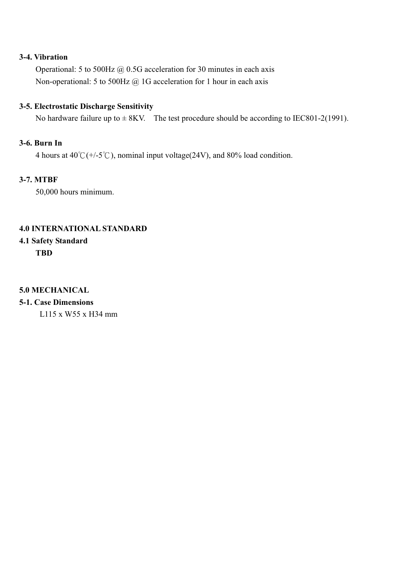### **3-4. Vibration**

 Operational: 5 to 500Hz @ 0.5G acceleration for 30 minutes in each axis Non-operational: 5 to 500Hz @ 1G acceleration for 1 hour in each axis

#### **3-5. Electrostatic Discharge Sensitivity**

No hardware failure up to  $\pm$  8KV. The test procedure should be according to IEC801-2(1991).

# **3-6. Burn In**

4 hours at  $40^{\circ}$ C(+/-5<sup>°</sup>C), nominal input voltage (24V), and 80% load condition.

#### **3-7. MTBF**

50,000 hours minimum.

# **4.0 INTERNATIONAL STANDARD**

# **4.1 Safety Standard TBD**

#### **5.0 MECHANICAL**

**5-1. Case Dimensions** 

L115 x W55 x H34 mm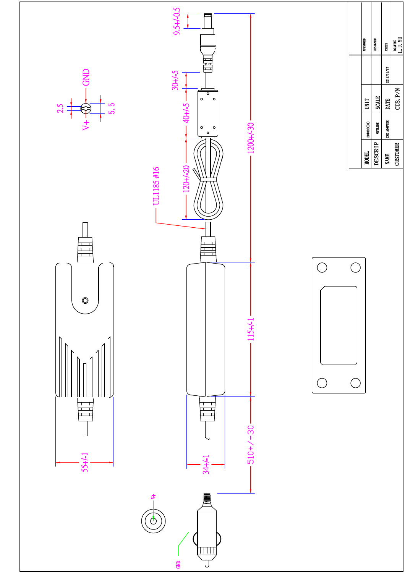